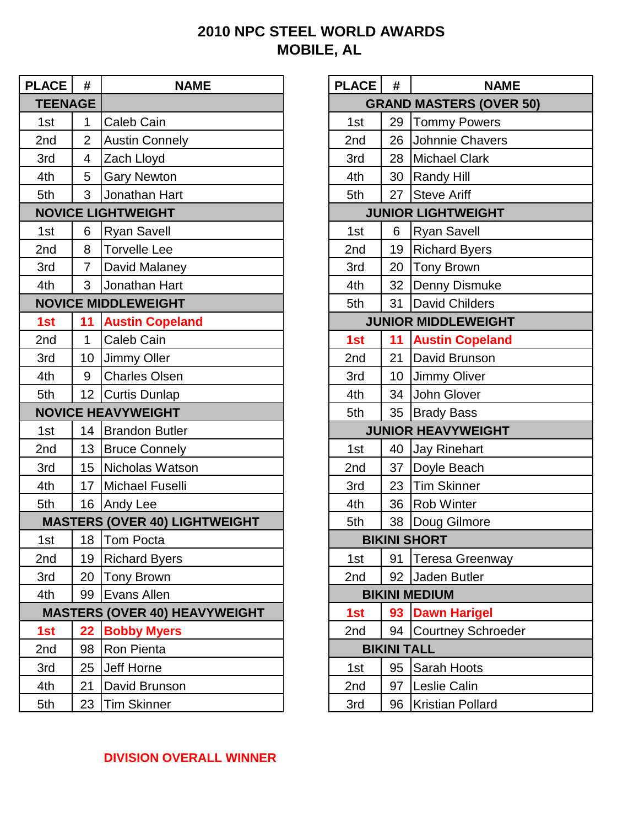## **2010 NPC STEEL WORLD AWARDS MOBILE, AL**

| <b>PLACE</b>   | #              | <b>NAME</b>                          | <b>PLACE</b> | #                  | <b>NAME</b>                    |
|----------------|----------------|--------------------------------------|--------------|--------------------|--------------------------------|
| <b>TEENAGE</b> |                |                                      |              |                    | <b>GRAND MASTERS (OVER 50)</b> |
| 1st            | $\mathbf{1}$   | <b>Caleb Cain</b>                    | 1st          | 29                 | <b>Tommy Powers</b>            |
| 2nd            | $\overline{2}$ | <b>Austin Connely</b>                | 2nd          | 26                 | Johnnie Chavers                |
| 3rd            | 4              | Zach Lloyd                           | 3rd          |                    | 28 Michael Clark               |
| 4th            | 5              | <b>Gary Newton</b>                   | 4th          | 30                 | <b>Randy Hill</b>              |
| 5th            | 3              | Jonathan Hart                        | 5th          | 27                 | <b>Steve Ariff</b>             |
|                |                | <b>NOVICE LIGHTWEIGHT</b>            |              |                    | <b>JUNIOR LIGHTWEIGHT</b>      |
| 1st            | 6              | <b>Ryan Savell</b>                   | 1st          | 6                  | <b>Ryan Savell</b>             |
| 2nd            | 8              | <b>Torvelle Lee</b>                  | 2nd          | 19                 | <b>Richard Byers</b>           |
| 3rd            | $\overline{7}$ | David Malaney                        | 3rd          | 20                 | <b>Tony Brown</b>              |
| 4th            | 3              | Jonathan Hart                        | 4th          | 32 <sup>2</sup>    | Denny Dismuke                  |
|                |                | <b>NOVICE MIDDLEWEIGHT</b>           | 5th          | 31                 | <b>David Childers</b>          |
| 1st            | 11             | <b>Austin Copeland</b>               |              |                    | <b>JUNIOR MIDDLEWEIGHT</b>     |
| 2nd            | $\mathbf{1}$   | Caleb Cain                           | 1st          | 11                 | <b>Austin Copeland</b>         |
| 3rd            | 10             | <b>Jimmy Oller</b>                   | 2nd          | 21                 | David Brunson                  |
| 4th            | 9              | <b>Charles Olsen</b>                 | 3rd          | 10 <sup>°</sup>    | Jimmy Oliver                   |
| 5th            |                | 12 Curtis Dunlap                     | 4th          | 34                 | John Glover                    |
|                |                | <b>NOVICE HEAVYWEIGHT</b>            | 5th          | 35                 | <b>Brady Bass</b>              |
| 1st            |                | 14   Brandon Butler                  |              |                    | <b>JUNIOR HEAVYWEIGHT</b>      |
| 2nd            | 13             | <b>Bruce Connely</b>                 | 1st          | 40                 | <b>Jay Rinehart</b>            |
| 3rd            | 15             | Nicholas Watson                      | 2nd          | 37                 | Doyle Beach                    |
| 4th            | 17             | Michael Fuselli                      | 3rd          | 23                 | <b>Tim Skinner</b>             |
| 5th            | 16             | Andy Lee                             | 4th          | 36                 | <b>Rob Winter</b>              |
|                |                | <b>MASTERS (OVER 40) LIGHTWEIGHT</b> | 5th          |                    | 38 Doug Gilmore                |
| 1st            |                | 18 Tom Pocta                         |              |                    | <b>BIKINI SHORT</b>            |
| 2nd            |                | 19 Richard Byers                     | 1st          | $91 \mid$          | <b>Teresa Greenway</b>         |
| 3rd            |                | 20   Tony Brown                      | 2nd          |                    | 92 Jaden Butler                |
| 4th            |                | 99 Evans Allen                       |              |                    | <b>BIKINI MEDIUM</b>           |
|                |                | <b>MASTERS (OVER 40) HEAVYWEIGHT</b> | 1st          |                    | 93 Dawn Harigel                |
| 1st            |                | 22 Bobby Myers                       | 2nd          |                    | 94 Courtney Schroeder          |
| 2nd            | 98             | Ron Pienta                           |              | <b>BIKINI TALL</b> |                                |
| 3rd            | 25             | Jeff Horne                           | 1st          | 95                 | Sarah Hoots                    |
| 4th            | 21             | David Brunson                        | 2nd          | 97                 | Leslie Calin                   |
| 5th            |                | 23 Tim Skinner                       | 3rd          | 96                 | Kristian Pollard               |

| <b>PLACE</b>                   | #                         | <b>NAME</b>                |  |  |  |
|--------------------------------|---------------------------|----------------------------|--|--|--|
| <b>GRAND MASTERS (OVER 50)</b> |                           |                            |  |  |  |
| 1st                            | 29                        | <b>Tommy Powers</b>        |  |  |  |
| 2nd                            | 26                        | Johnnie Chavers            |  |  |  |
| 3rd                            | 28                        | <b>Michael Clark</b>       |  |  |  |
| 4th                            | 30                        | <b>Randy Hill</b>          |  |  |  |
| 5th                            | 27                        | <b>Steve Ariff</b>         |  |  |  |
|                                | <b>JUNIOR LIGHTWEIGHT</b> |                            |  |  |  |
| 1st                            | 6                         | <b>Ryan Savell</b>         |  |  |  |
| 2nd                            | 19                        | <b>Richard Byers</b>       |  |  |  |
| 3rd                            | 20                        | <b>Tony Brown</b>          |  |  |  |
| 4th                            | 32                        | Denny Dismuke              |  |  |  |
| 5th                            | 31                        | <b>David Childers</b>      |  |  |  |
|                                |                           | <b>JUNIOR MIDDLEWEIGHT</b> |  |  |  |
| 1st                            | 11                        | <b>Austin Copeland</b>     |  |  |  |
| 2nd                            | 21                        | David Brunson              |  |  |  |
| 3rd                            | 10                        | <b>Jimmy Oliver</b>        |  |  |  |
| 4th                            | 34                        | John Glover                |  |  |  |
| 5th                            | 35                        | <b>Brady Bass</b>          |  |  |  |
|                                |                           | <b>JUNIOR HEAVYWEIGHT</b>  |  |  |  |
| 1st                            | 40                        | <b>Jay Rinehart</b>        |  |  |  |
| 2nd                            | 37                        | Doyle Beach                |  |  |  |
| 3rd                            | 23                        | <b>Tim Skinner</b>         |  |  |  |
| 4th                            | 36                        | <b>Rob Winter</b>          |  |  |  |
| 5th                            | 38                        | Doug Gilmore               |  |  |  |
| <b>BIKINI SHORT</b>            |                           |                            |  |  |  |
| 1st                            | 91                        | Teresa Greenway            |  |  |  |
| 2nd                            | 92                        | Jaden Butler               |  |  |  |
| <b>BIKINI MEDIUM</b>           |                           |                            |  |  |  |
| 1st                            | 93                        | <b>Dawn Harigel</b>        |  |  |  |
| 2nd                            | 94                        | <b>Courtney Schroeder</b>  |  |  |  |
| <b>BIKINI TALL</b>             |                           |                            |  |  |  |
| 1st                            | 95                        | Sarah Hoots                |  |  |  |
| 2nd                            | 97                        | Leslie Calin               |  |  |  |
| 3rd                            | 96                        | Kristian Pollard           |  |  |  |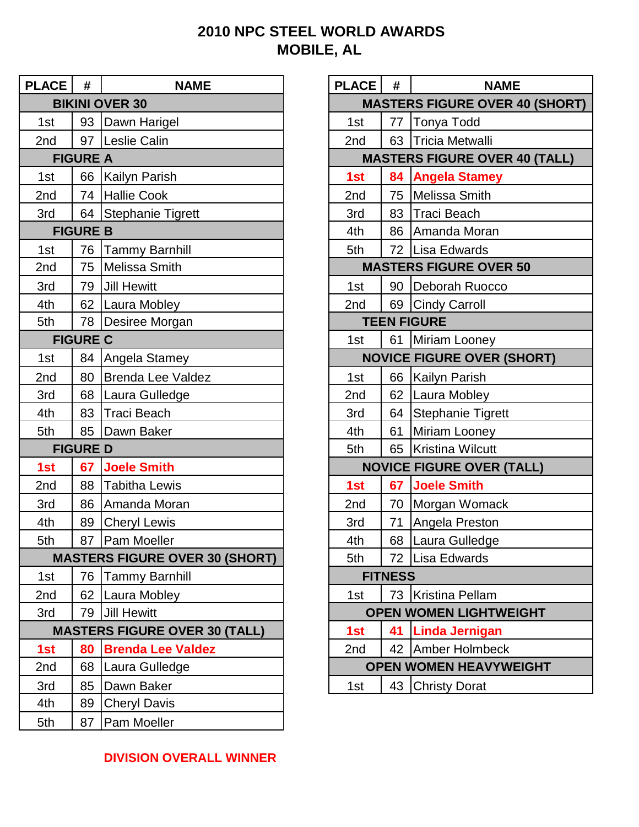## **2010 NPC STEEL WORLD AWARDS MOBILE, AL**

| <b>PLACE</b>          | #               | <b>NAME</b>                           | <b>PLACE</b>                     | #                             | <b>NAME</b>                           |  |
|-----------------------|-----------------|---------------------------------------|----------------------------------|-------------------------------|---------------------------------------|--|
| <b>BIKINI OVER 30</b> |                 |                                       |                                  |                               | <b>MASTERS FIGURE OVER 40 (SHORT)</b> |  |
| 1st                   |                 | 93 Dawn Harigel                       | 1st                              | 77                            | Tonya Todd                            |  |
| 2nd                   |                 | 97 Leslie Calin                       | 2nd                              | 63                            | <b>Tricia Metwalli</b>                |  |
| <b>FIGURE A</b>       |                 |                                       |                                  |                               | <b>MASTERS FIGURE OVER 40 (TALL)</b>  |  |
| 1st                   | 66              | <b>Kailyn Parish</b>                  | 1st                              | 84                            | <b>Angela Stamey</b>                  |  |
| 2 <sub>nd</sub>       |                 | 74 Hallie Cook                        | 2nd                              | 75                            | Melissa Smith                         |  |
| 3rd                   |                 | 64 Stephanie Tigrett                  | 3rd                              | 83                            | Traci Beach                           |  |
|                       | <b>FIGURE B</b> |                                       | 4th                              | 86                            | Amanda Moran                          |  |
| 1st                   | 76              | <b>Tammy Barnhill</b>                 | 5th                              |                               | 72 Lisa Edwards                       |  |
| 2nd                   | 75              | <b>Melissa Smith</b>                  |                                  | <b>MASTERS FIGURE OVER 50</b> |                                       |  |
| 3rd                   | 79              | <b>Jill Hewitt</b>                    | 1st                              | 90                            | Deborah Ruocco                        |  |
| 4th                   | 62              | Laura Mobley                          | 2nd                              |                               | 69 Cindy Carroll                      |  |
| 5th                   | 78              | Desiree Morgan                        |                                  |                               | <b>TEEN FIGURE</b>                    |  |
|                       | <b>FIGURE C</b> |                                       | 1st                              |                               | 61 Miriam Looney                      |  |
| 1st                   | 84              | Angela Stamey                         |                                  |                               | <b>NOVICE FIGURE OVER (SHORT)</b>     |  |
| 2nd                   | 80              | <b>Brenda Lee Valdez</b>              | 1st                              |                               | 66 Kailyn Parish                      |  |
| 3rd                   |                 | 68   Laura Gulledge                   | 2nd                              |                               | 62 Laura Mobley                       |  |
| 4th                   | 83              | <b>Traci Beach</b>                    | 3rd                              |                               | 64 Stephanie Tigrett                  |  |
| 5th                   | 85              | Dawn Baker                            | 4th                              | 61                            | Miriam Looney                         |  |
|                       | <b>FIGURE D</b> |                                       | 5th                              | 65                            | <b>Kristina Wilcutt</b>               |  |
| 1st                   | 67              | <b>Joele Smith</b>                    | <b>NOVICE FIGURE OVER (TALL)</b> |                               |                                       |  |
| 2nd                   | 88              | <b>Tabitha Lewis</b>                  | 1st                              | 67                            | <b>Joele Smith</b>                    |  |
| 3rd                   | 86              | Amanda Moran                          | 2nd                              | 70                            | Morgan Womack                         |  |
| 4th                   | 89              | <b>Cheryl Lewis</b>                   | 3rd                              | 71                            | Angela Preston                        |  |
| 5th                   |                 | 87   Pam Moeller                      | 4th                              |                               | 68 Laura Gulledge                     |  |
|                       |                 | <b>MASTERS FIGURE OVER 30 (SHORT)</b> | 5th                              | 72                            | Lisa Edwards                          |  |
| 1st                   |                 | 76 Tammy Barnhill                     | <b>FITNESS</b>                   |                               |                                       |  |
| 2nd                   |                 | 62 Laura Mobley                       | 1st                              |                               | 73 Kristina Pellam                    |  |
| 3rd                   |                 | 79 Jill Hewitt                        |                                  |                               | <b>OPEN WOMEN LIGHTWEIGHT</b>         |  |
|                       |                 | <b>MASTERS FIGURE OVER 30 (TALL)</b>  | 1st                              | 41                            | <b>Linda Jernigan</b>                 |  |
| 1st                   | 80              | <b>Brenda Lee Valdez</b>              | 2nd                              |                               | 42 Amber Holmbeck                     |  |
| 2nd                   | 68              | Laura Gulledge                        | <b>OPEN WOMEN HEAVYWEIGHT</b>    |                               |                                       |  |
| 3rd                   | 85              | Dawn Baker                            | 1st                              |                               | 43 Christy Dorat                      |  |
| 4th                   | 89              | <b>Cheryl Davis</b>                   |                                  |                               |                                       |  |
| 5th                   | 87              | <b>Pam Moeller</b>                    |                                  |                               |                                       |  |

| <b>PLACE</b>                          | #                                    | <b>NAME</b>                       |  |  |  |
|---------------------------------------|--------------------------------------|-----------------------------------|--|--|--|
| <b>MASTERS FIGURE OVER 40 (SHORT)</b> |                                      |                                   |  |  |  |
| 1st                                   | 77                                   | <b>Tonya Todd</b>                 |  |  |  |
| 2nd                                   | 63                                   | <b>Tricia Metwalli</b>            |  |  |  |
|                                       | <b>MASTERS FIGURE OVER 40 (TALL)</b> |                                   |  |  |  |
| 1st                                   | 84                                   | <b>Angela Stamey</b>              |  |  |  |
| 2 <sub>nd</sub>                       | 75                                   | <b>Melissa Smith</b>              |  |  |  |
| 3rd                                   | $83-$                                | <b>Traci Beach</b>                |  |  |  |
| 4th                                   | 86                                   | Amanda Moran                      |  |  |  |
| 5th                                   | 72                                   | Lisa Edwards                      |  |  |  |
| <b>MASTERS FIGURE OVER 50</b>         |                                      |                                   |  |  |  |
| 1st                                   | 90                                   | Deborah Ruocco                    |  |  |  |
| 2 <sub>nd</sub>                       | 69                                   | Cindy Carroll                     |  |  |  |
|                                       |                                      | <b>TEEN FIGURE</b>                |  |  |  |
| 1st                                   | 61                                   | Miriam Looney                     |  |  |  |
|                                       |                                      | <b>NOVICE FIGURE OVER (SHORT)</b> |  |  |  |
| 1st                                   | 66                                   | Kailyn Parish                     |  |  |  |
| 2nd                                   | 62                                   | Laura Mobley                      |  |  |  |
| 3rd                                   | 64                                   | <b>Stephanie Tigrett</b>          |  |  |  |
| 4th                                   | 61                                   | Miriam Looney                     |  |  |  |
| 5th                                   | 65                                   | <b>Kristina Wilcutt</b>           |  |  |  |
| <b>NOVICE FIGURE OVER (TALL)</b>      |                                      |                                   |  |  |  |
| 1st                                   | 67                                   | <b>Joele Smith</b>                |  |  |  |
| 2nd                                   | 70                                   | Morgan Womack                     |  |  |  |
| 3rd                                   | 71                                   | Angela Preston                    |  |  |  |
| 4th                                   | 68                                   | Laura Gulledge                    |  |  |  |
| 5th                                   | 72                                   | <b>Lisa Edwards</b>               |  |  |  |
| <b>FITNESS</b>                        |                                      |                                   |  |  |  |
| <b>Kristina Pellam</b><br>73<br>1st   |                                      |                                   |  |  |  |
| <b>OPEN WOMEN LIGHTWEIGHT</b>         |                                      |                                   |  |  |  |
| 1st                                   | 41                                   | <b>Linda Jernigan</b>             |  |  |  |
| 2nd                                   | 42                                   | <b>Amber Holmbeck</b>             |  |  |  |
|                                       | <b>OPEN WOMEN HEAVYWEIGHT</b>        |                                   |  |  |  |
| 1st                                   | 43                                   | <b>Christy Dorat</b>              |  |  |  |